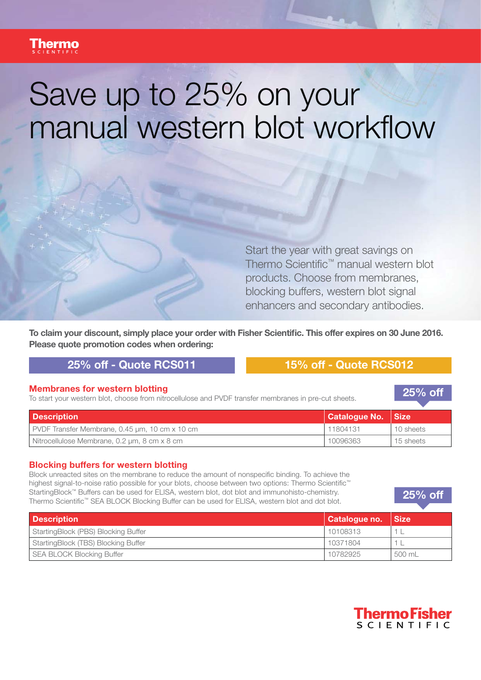# Save up to 25% on your manual western blot workflow

Start the year with great savings on Thermo Scientific™ manual western blot products. Choose from membranes, blocking buffers, western blot signal enhancers and secondary antibodies.

**To claim your discount, simply place your order with Fisher Scientific. This offer expires on 30 June 2016. Please quote promotion codes when ordering:** 

## **25% off - Quote RCS011 15% off - Quote RCS012**

**Membranes for western blotting**<br>To start your western blot, choose from nitrocellulose and PVDF transfer membranes in pre-cut sheets.

**25% off**

| <b>Description</b>                             | Catalogue No.   Size |           |
|------------------------------------------------|----------------------|-----------|
| PVDF Transfer Membrane, 0.45 µm, 10 cm x 10 cm | 11804131             | 10 sheets |
| Nitrocellulose Membrane, 0.2 µm, 8 cm x 8 cm   | 10096363             | 15 sheets |

### **Blocking buffers for western blotting**

Block unreacted sites on the membrane to reduce the amount of nonspecific binding. To achieve the highest signal-to-noise ratio possible for your blots, choose between two options: Thermo Scientific™ StartingBlock™ Buffers can be used for ELISA, western blot, dot blot and immunohisto-chemistry. Thermo Scientific™ SEA BLOCK Blocking Buffer can be used for ELISA, western blot and dot blot.

| <b>Description</b>                  | Catalogue no. Size |        |
|-------------------------------------|--------------------|--------|
| StartingBlock (PBS) Blocking Buffer | 10108313           |        |
| StartingBlock (TBS) Blocking Buffer | 10371804           |        |
| SEA BLOCK Blocking Buffer           | 10782925           | 500 mL |